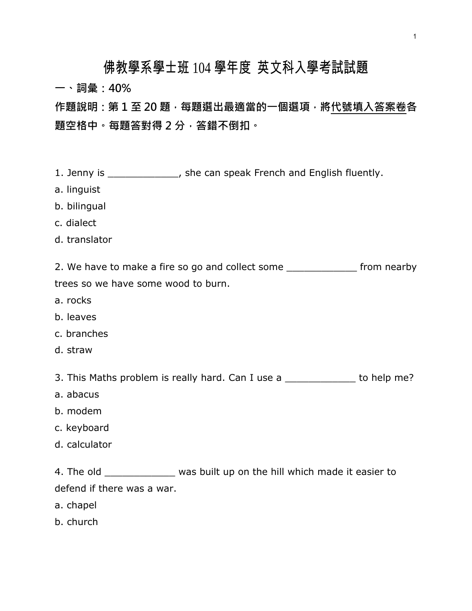## 佛教學系學士班 104 學年度 英文科入學考試試題

一、詞彙:40%

作題說明:第 1 至 20 題,每題選出最適當的一個選項,將代號填入答案卷各 題空格中。每題答對得 2 分,答錯不倒扣。

- 1. Jenny is \_\_\_\_\_\_\_\_\_\_\_\_, she can speak French and English fluently.
- a. linguist
- b. bilingual
- c. dialect
- d. translator

2. We have to make a fire so go and collect some \_\_\_\_\_\_\_\_\_\_\_\_\_\_\_ from nearby trees so we have some wood to burn.

- a. rocks
- b. leaves
- c. branches
- d. straw

3. This Maths problem is really hard. Can I use a \_\_\_\_\_\_\_\_\_\_\_\_ to help me?

- a. abacus
- b. modem
- c. keyboard
- d. calculator

4. The old \_\_\_\_\_\_\_\_\_\_\_\_\_\_ was built up on the hill which made it easier to defend if there was a war.

- a. chapel
- b. church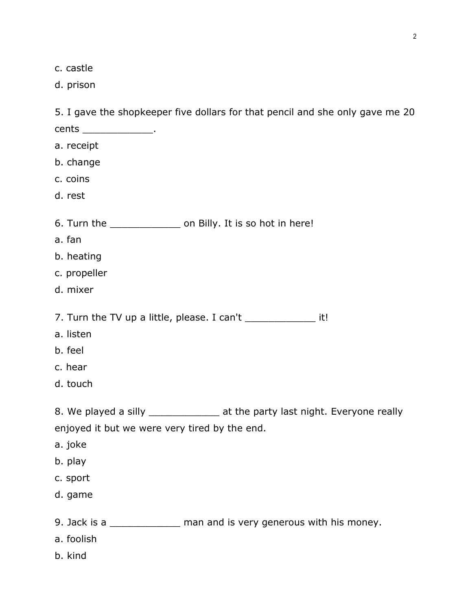c. castle

d. prison

|                                                               | 5. I gave the shopkeeper five dollars for that pencil and she only gave me 20 |
|---------------------------------------------------------------|-------------------------------------------------------------------------------|
| cents __________________.                                     |                                                                               |
| a. receipt                                                    |                                                                               |
| b. change                                                     |                                                                               |
| c. coins                                                      |                                                                               |
| d. rest                                                       |                                                                               |
| 6. Turn the _________________ on Billy. It is so hot in here! |                                                                               |
| a. fan                                                        |                                                                               |
| b. heating                                                    |                                                                               |
| c. propeller                                                  |                                                                               |
| d. mixer                                                      |                                                                               |
|                                                               | 7. Turn the TV up a little, please. I can't ________________ it!              |
| a. listen                                                     |                                                                               |
| b. feel                                                       |                                                                               |
| c. hear                                                       |                                                                               |
| d. touch                                                      |                                                                               |
|                                                               | 8. We played a silly _______________ at the party last night. Everyone really |
| enjoyed it but we were very tired by the end.                 |                                                                               |
| a. joke                                                       |                                                                               |
| b. play                                                       |                                                                               |
| c. sport                                                      |                                                                               |
| d. game                                                       |                                                                               |
|                                                               | 9. Jack is a _______________ man and is very generous with his money.         |
| a. foolish                                                    |                                                                               |

b. kind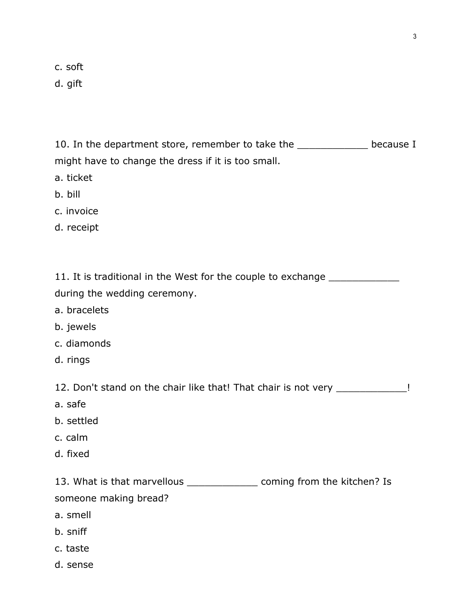c. soft

d. gift

10. In the department store, remember to take the \_\_\_\_\_\_\_\_\_\_\_\_ because I might have to change the dress if it is too small.

- a. ticket
- b. bill
- c. invoice
- d. receipt

11. It is traditional in the West for the couple to exchange \_\_\_\_\_\_\_\_\_\_\_\_\_\_\_\_\_\_\_

during the wedding ceremony.

- a. bracelets
- b. jewels
- c. diamonds
- d. rings

12. Don't stand on the chair like that! That chair is not very \_\_\_\_\_\_\_\_\_\_\_\_\_!

- a. safe
- b. settled
- c. calm
- d. fixed

13. What is that marvellous \_\_\_\_\_\_\_\_\_\_\_\_\_\_\_\_ coming from the kitchen? Is someone making bread?

- a. smell
- b. sniff
- c. taste
- d. sense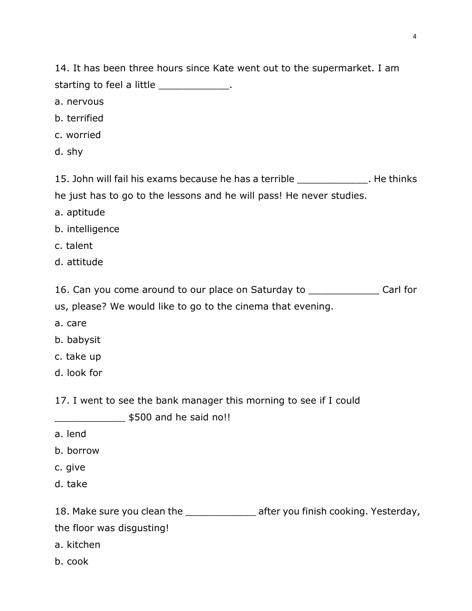14. It has been three hours since Kate went out to the supermarket. I am starting to feel a little \_\_\_\_\_\_\_\_\_\_\_\_\_\_.

- a. nervous
- b. terrified
- c. worried
- d. shy

15. John will fail his exams because he has a terrible \_\_\_\_\_\_\_\_\_\_\_\_. He thinks he just has to go to the lessons and he will pass! He never studies.

- a. aptitude
- b. intelligence
- c. talent
- d. attitude

16. Can you come around to our place on Saturday to \_\_\_\_\_\_\_\_\_\_\_\_ Carl for us, please? We would like to go to the cinema that evening.

- a. care
- b. babysit
- c. take up
- d. look for

17. I went to see the bank manager this morning to see if I could

\_\_\_\_\_\_\_\_\_\_\_\_ \$500 and he said no!!

- a. lend
- b. borrow
- c. give
- d. take

18. Make sure you clean the \_\_\_\_\_\_\_\_\_\_\_\_\_\_\_ after you finish cooking. Yesterday, the floor was disgusting! a. kitchen

b. cook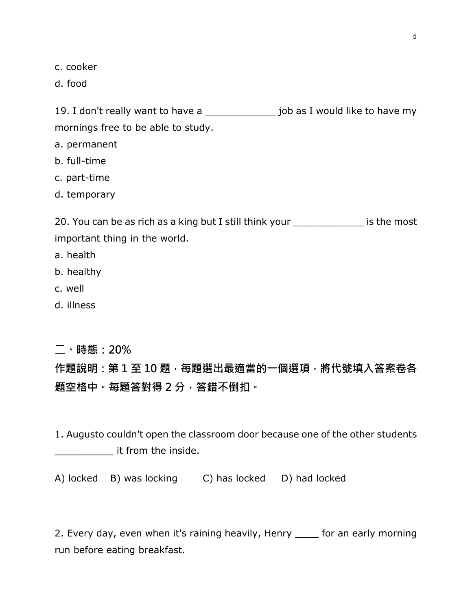c. cooker

d. food

19. I don't really want to have a \_\_\_\_\_\_\_\_\_\_\_\_\_\_\_ job as I would like to have my mornings free to be able to study.

a. permanent

b. full-time

c. part-time

d. temporary

20. You can be as rich as a king but I still think your \_\_\_\_\_\_\_\_\_\_\_\_ is the most important thing in the world.

- a. health
- b. healthy
- c. well
- d. illness

二、時態:20%

作題說明:第 1 至 10 題, 每題選出最適當的一個選項, 將代號填入答案卷各 題空格中。每題答對得 2 分, 答錯不倒扣。

1. Augusto couldn't open the classroom door because one of the other students  $\blacksquare$  it from the inside.

A) locked B) was locking C) has locked D) had locked

2. Every day, even when it's raining heavily, Henry \_\_\_\_ for an early morning run before eating breakfast.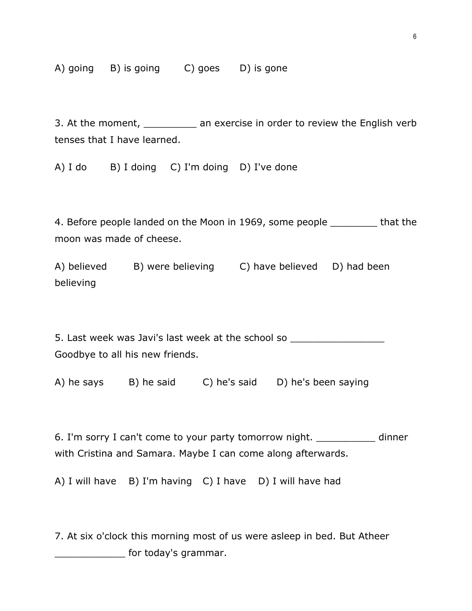A) going B) is going C) goes D) is gone

3. At the moment, \_\_\_\_\_\_\_\_\_ an exercise in order to review the English verb tenses that I have learned.

A) I do B) I doing C) I'm doing D) I've done

4. Before people landed on the Moon in 1969, some people \_\_\_\_\_\_\_\_ that the moon was made of cheese.

A) believed B) were believing C) have believed D) had been believing

5. Last week was Javi's last week at the school so \_\_\_\_\_\_\_\_\_\_\_\_\_\_\_\_\_\_\_\_\_\_\_\_\_\_\_\_\_ Goodbye to all his new friends.

A) he says B) he said C) he's said D) he's been saying

6. I'm sorry I can't come to your party tomorrow night. \_\_\_\_\_\_\_\_\_\_ dinner with Cristina and Samara. Maybe I can come along afterwards.

A) I will have B) I'm having C) I have D) I will have had

7. At six o'clock this morning most of us were asleep in bed. But Atheer **Example 2** for today's grammar.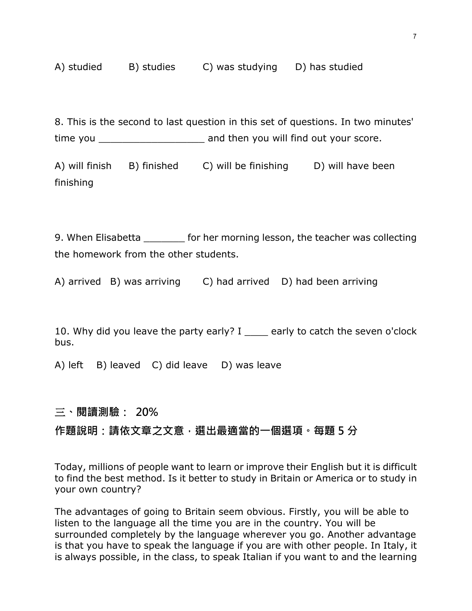8. This is the second to last question in this set of questions. In two minutes' time you \_\_\_\_\_\_\_\_\_\_\_\_\_\_\_\_\_\_ and then you will find out your score.

A) will finish B) finished C) will be finishing D) will have been finishing

9. When Elisabetta **the fact of the morning lesson, the teacher was collecting** the homework from the other students.

A) arrived B) was arriving C) had arrived D) had been arriving

10. Why did you leave the party early? I early to catch the seven o'clock bus.

A) left B) leaved C) did leave D) was leave

## 三、閱讀測驗: 20%

## 作題說明:請依文章之文意,選出最適當的一個選項。每題 5 分

Today, millions of people want to learn or improve their English but it is difficult to find the best method. Is it better to study in Britain or America or to study in your own country?

The advantages of going to Britain seem obvious. Firstly, you will be able to listen to the language all the time you are in the country. You will be surrounded completely by the language wherever you go. Another advantage is that you have to speak the language if you are with other people. In Italy, it is always possible, in the class, to speak Italian if you want to and the learning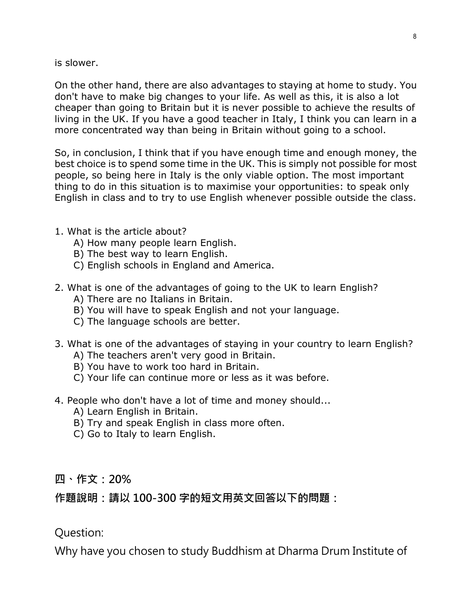is slower.

On the other hand, there are also advantages to staying at home to study. You don't have to make big changes to your life. As well as this, it is also a lot cheaper than going to Britain but it is never possible to achieve the results of living in the UK. If you have a good teacher in Italy, I think you can learn in a more concentrated way than being in Britain without going to a school.

So, in conclusion, I think that if you have enough time and enough money, the best choice is to spend some time in the UK. This is simply not possible for most people, so being here in Italy is the only viable option. The most important thing to do in this situation is to maximise your opportunities: to speak only English in class and to try to use English whenever possible outside the class.

- 1. What is the article about?
	- A) How many people learn English.
	- B) The best way to learn English.
	- C) English schools in England and America.
- 2. What is one of the advantages of going to the UK to learn English?
	- A) There are no Italians in Britain.
	- B) You will have to speak English and not your language.
	- C) The language schools are better.
- 3. What is one of the advantages of staying in your country to learn English?
	- A) The teachers aren't very good in Britain.
	- B) You have to work too hard in Britain.
	- C) Your life can continue more or less as it was before.
- 4. People who don't have a lot of time and money should...
	- A) Learn English in Britain.
	- B) Try and speak English in class more often.
	- C) Go to Italy to learn English.

## 四、作文:20%

作題說明:請以 100-300 字的短文用英文回答以下的問題:

Question:

Why have you chosen to study Buddhism at Dharma Drum Institute of